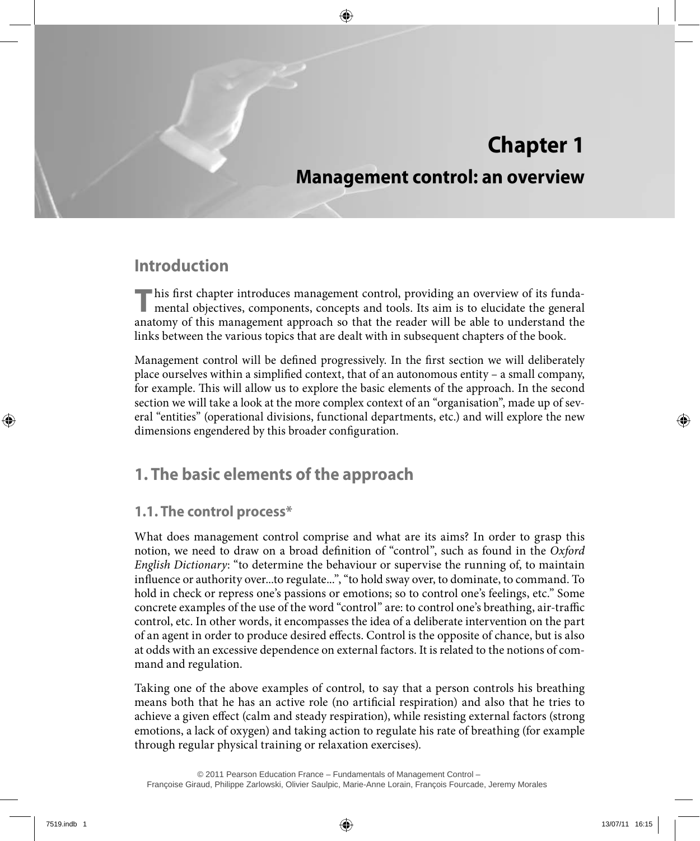# **Chapter 1**

## **Management control: an overview**

## **Introduction**

This first chapter introduces management control, providing an overview of its funda-<br>mental objectives, components, concepts and tools. Its aim is to elucidate the general anatomy of this management approach so that the reader will be able to understand the links between the various topics that are dealt with in subsequent chapters of the book.

Management control will be defined progressively. In the first section we will deliberately place ourselves within a simplified context, that of an autonomous entity – a small company, for example. This will allow us to explore the basic elements of the approach. In the second section we will take a look at the more complex context of an "organisation", made up of several "entities" (operational divisions, functional departments, etc.) and will explore the new dimensions engendered by this broader configuration.

## **1. The basic elements of the approach**

### **1.1. The control process\***

What does management control comprise and what are its aims? In order to grasp this notion, we need to draw on a broad definition of "control", such as found in the *Oxford English Dictionary*: "to determine the behaviour or supervise the running of, to maintain influence or authority over...to regulate...", "to hold sway over, to dominate, to command. To hold in check or repress one's passions or emotions; so to control one's feelings, etc." Some concrete examples of the use of the word "control" are: to control one's breathing, air-traffic control, etc. In other words, it encompasses the idea of a deliberate intervention on the part of an agent in order to produce desired effects. Control is the opposite of chance, but is also at odds with an excessive dependence on external factors. It is related to the notions of command and regulation.

Taking one of the above examples of control, to say that a person controls his breathing means both that he has an active role (no artificial respiration) and also that he tries to achieve a given effect (calm and steady respiration), while resisting external factors (strong emotions, a lack of oxygen) and taking action to regulate his rate of breathing (for example through regular physical training or relaxation exercises).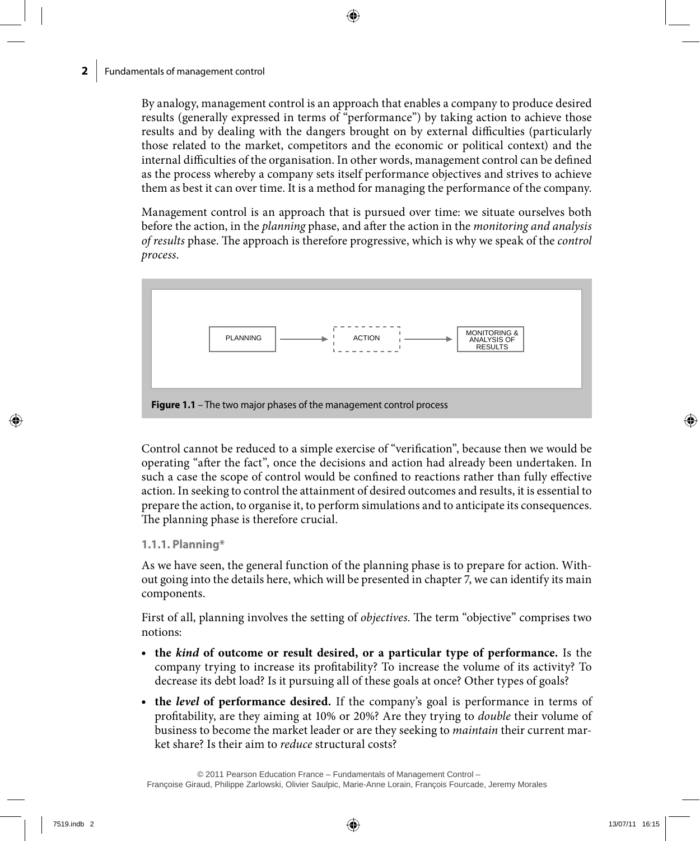By analogy, management control is an approach that enables a company to produce desired results (generally expressed in terms of "performance") by taking action to achieve those results and by dealing with the dangers brought on by external difficulties (particularly those related to the market, competitors and the economic or political context) and the internal difficulties of the organisation. In other words, management control can be defined as the process whereby a company sets itself performance objectives and strives to achieve them as best it can over time. It is a method for managing the performance of the company.

Management control is an approach that is pursued over time: we situate ourselves both before the action, in the *planning* phase, and after the action in the *monitoring and analysis of results* phase. The approach is therefore progressive, which is why we speak of the *control process*.



Control cannot be reduced to a simple exercise of "verification", because then we would be operating "after the fact", once the decisions and action had already been undertaken. In such a case the scope of control would be confined to reactions rather than fully effective action. In seeking to control the attainment of desired outcomes and results, it is essential to prepare the action, to organise it, to perform simulations and to anticipate its consequences. The planning phase is therefore crucial.

### **1.1.1. Planning\***

As we have seen, the general function of the planning phase is to prepare for action. Without going into the details here, which will be presented in chapter 7, we can identify its main components.

First of all, planning involves the setting of *objectives*. The term "objective" comprises two notions:

- • **the** *kind* **of outcome or result desired, or a particular type of performance.** Is the company trying to increase its profitability? To increase the volume of its activity? To decrease its debt load? Is it pursuing all of these goals at once? Other types of goals?
- **the** *level* of performance desired. If the company's goal is performance in terms of profitability, are they aiming at 10% or 20%? Are they trying to *double* their volume of business to become the market leader or are they seeking to *maintain* their current market share? Is their aim to *reduce* structural costs?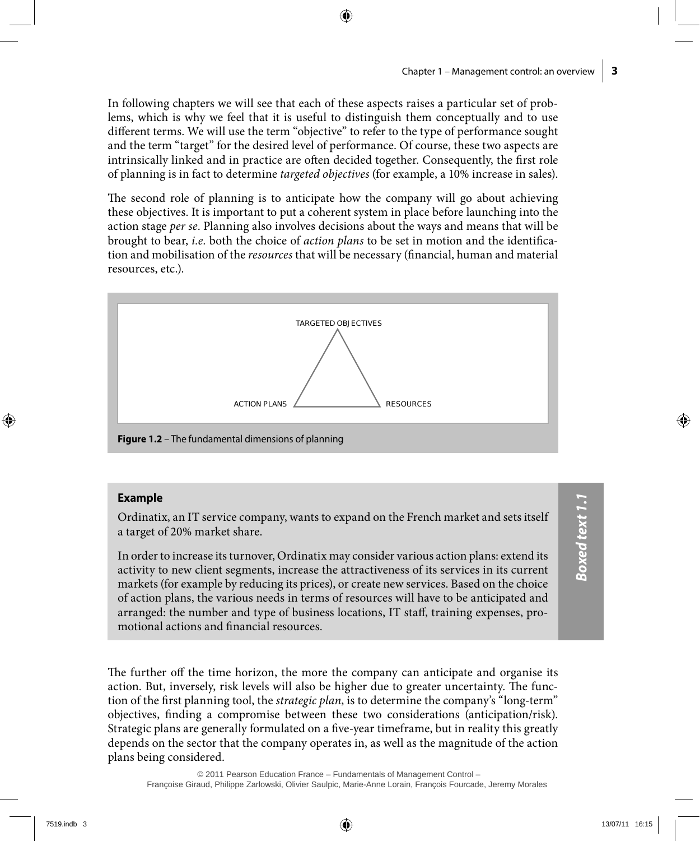In following chapters we will see that each of these aspects raises a particular set of problems, which is why we feel that it is useful to distinguish them conceptually and to use different terms. We will use the term "objective" to refer to the type of performance sought and the term "target" for the desired level of performance. Of course, these two aspects are intrinsically linked and in practice are often decided together. Consequently, the first role of planning is in fact to determine *targeted objectives* (for example, a 10% increase in sales).

The second role of planning is to anticipate how the company will go about achieving these objectives. It is important to put a coherent system in place before launching into the action stage *per se*. Planning also involves decisions about the ways and means that will be brought to bear, *i.e.* both the choice of *action plans* to be set in motion and the identification and mobilisation of the *resources* that will be necessary (financial, human and material resources, etc.).



#### **Example**

Ordinatix, an IT service company, wants to expand on the French market and sets itself a target of 20% market share.

In order to increase its turnover, Ordinatix may consider various action plans: extend its activity to new client segments, increase the attractiveness of its services in its current markets (for example by reducing its prices), or create new services. Based on the choice of action plans, the various needs in terms of resources will have to be anticipated and arranged: the number and type of business locations, IT staff, training expenses, promotional actions and financial resources.

The further off the time horizon, the more the company can anticipate and organise its action. But, inversely, risk levels will also be higher due to greater uncertainty. The function of the first planning tool, the *strategic plan*, is to determine the company's "long-term" objectives, finding a compromise between these two considerations (anticipation/risk). Strategic plans are generally formulated on a five-year timeframe, but in reality this greatly depends on the sector that the company operates in, as well as the magnitude of the action plans being considered.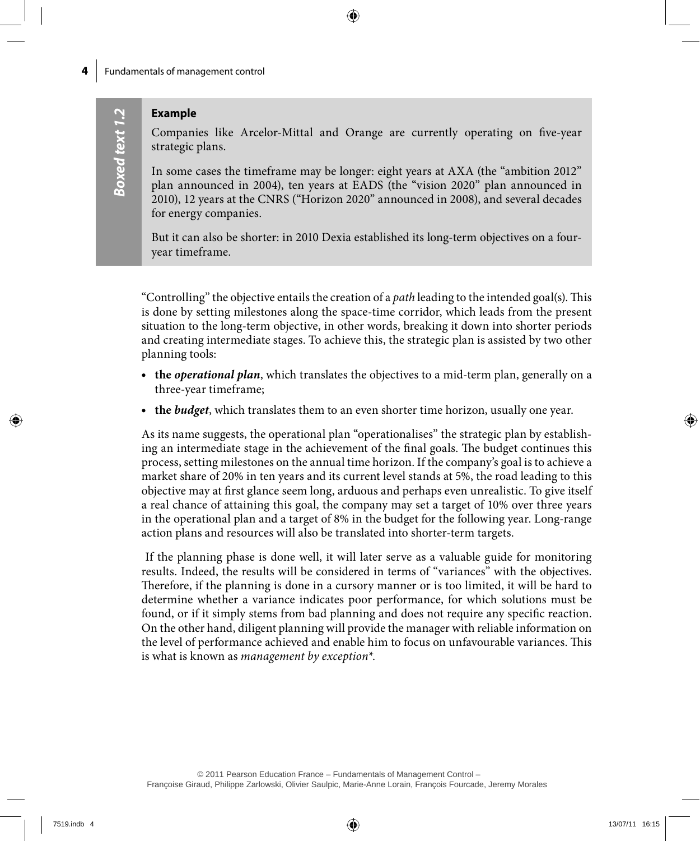### **Example**

Companies like Arcelor-Mittal and Orange are currently operating on five-year strategic plans.

In some cases the timeframe may be longer: eight years at AXA (the "ambition 2012" plan announced in 2004), ten years at EADS (the "vision 2020" plan announced in 2010), 12 years at the CNRS ("Horizon 2020" announced in 2008), and several decades for energy companies.

But it can also be shorter: in 2010 Dexia established its long-term objectives on a fouryear timeframe.

"Controlling" the objective entails the creation of a *path* leading to the intended goal(s). This is done by setting milestones along the space-time corridor, which leads from the present situation to the long-term objective, in other words, breaking it down into shorter periods and creating intermediate stages. To achieve this, the strategic plan is assisted by two other planning tools:

- **the** *operational plan*, which translates the objectives to a mid-term plan, generally on a three-year timeframe;
- • **the** *budget*, which translates them to an even shorter time horizon, usually one year.

As its name suggests, the operational plan "operationalises" the strategic plan by establishing an intermediate stage in the achievement of the final goals. The budget continues this process, setting milestones on the annual time horizon. If the company's goal is to achieve a market share of 20% in ten years and its current level stands at 5%, the road leading to this objective may at first glance seem long, arduous and perhaps even unrealistic. To give itself a real chance of attaining this goal, the company may set a target of 10% over three years in the operational plan and a target of 8% in the budget for the following year. Long-range action plans and resources will also be translated into shorter-term targets.

If the planning phase is done well, it will later serve as a valuable guide for monitoring results. Indeed, the results will be considered in terms of "variances" with the objectives. Therefore, if the planning is done in a cursory manner or is too limited, it will be hard to determine whether a variance indicates poor performance, for which solutions must be found, or if it simply stems from bad planning and does not require any specific reaction. On the other hand, diligent planning will provide the manager with reliable information on the level of performance achieved and enable him to focus on unfavourable variances. This is what is known as *management by exception\**.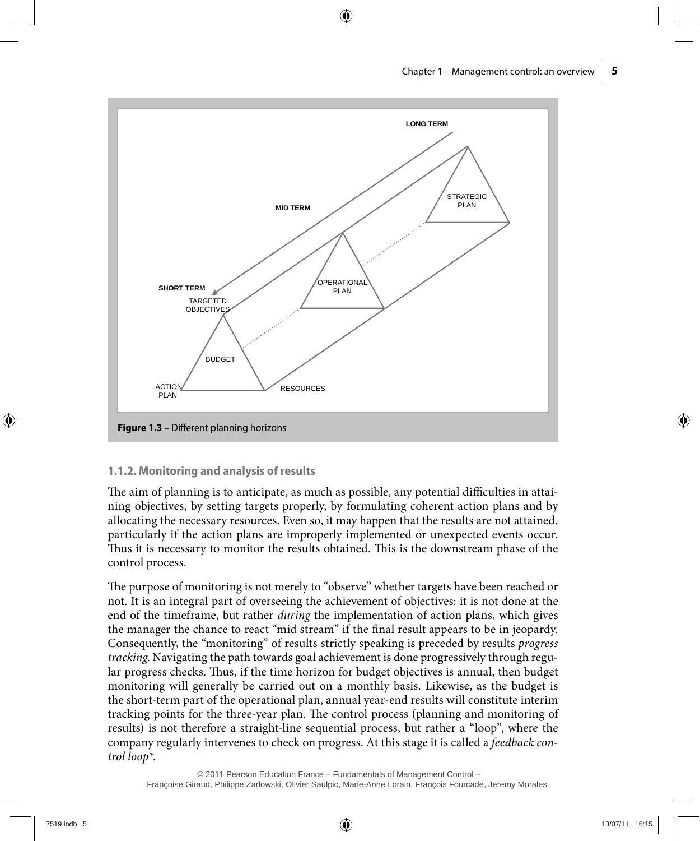

#### **1.1.2. Monitoring and analysis of results**

The aim of planning is to anticipate, as much as possible, any potential difficulties in attaining objectives, by setting targets properly, by formulating coherent action plans and by allocating the necessary resources. Even so, it may happen that the results are not attained, particularly if the action plans are improperly implemented or unexpected events occur. Thus it is necessary to monitor the results obtained. This is the downstream phase of the control process.

The purpose of monitoring is not merely to "observe" whether targets have been reached or not. It is an integral part of overseeing the achievement of objectives: it is not done at the end of the timeframe, but rather *during* the implementation of action plans, which gives the manager the chance to react "mid stream" if the final result appears to be in jeopardy. Consequently, the "monitoring" of results strictly speaking is preceded by results *progress tracking*. Navigating the path towards goal achievement is done progressively through regular progress checks. Thus, if the time horizon for budget objectives is annual, then budget monitoring will generally be carried out on a monthly basis. Likewise, as the budget is the short-term part of the operational plan, annual year-end results will constitute interim tracking points for the three-year plan. The control process (planning and monitoring of results) is not therefore a straight-line sequential process, but rather a "loop", where the company regularly intervenes to check on progress. At this stage it is called a *feedback control loop\**.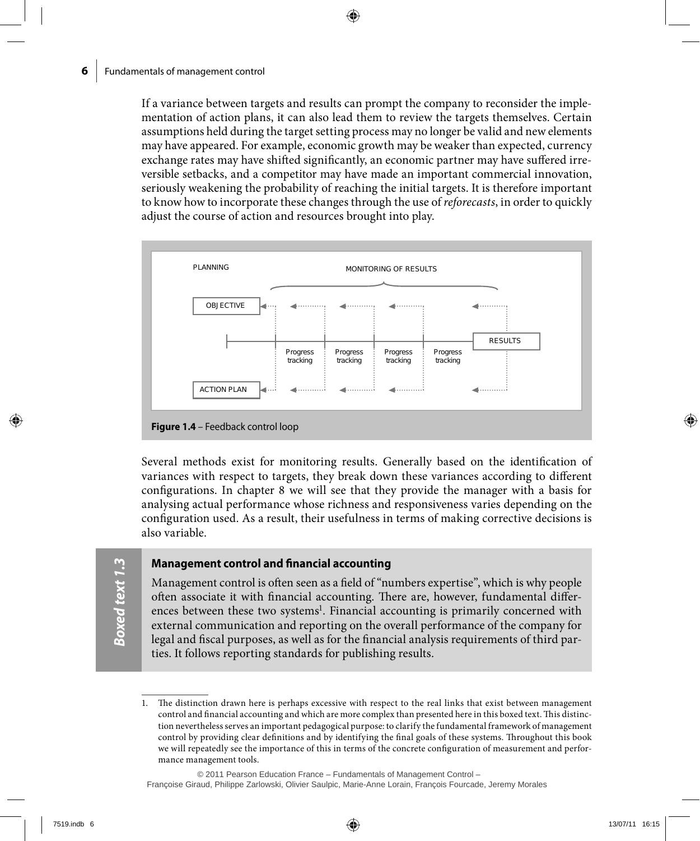If a variance between targets and results can prompt the company to reconsider the implementation of action plans, it can also lead them to review the targets themselves. Certain assumptions held during the target setting process may no longer be valid and new elements may have appeared. For example, economic growth may be weaker than expected, currency exchange rates may have shifted significantly, an economic partner may have suffered irreversible setbacks, and a competitor may have made an important commercial innovation, seriously weakening the probability of reaching the initial targets. It is therefore important to know how to incorporate these changes through the use of *reforecasts*, in order to quickly adjust the course of action and resources brought into play.



Several methods exist for monitoring results. Generally based on the identification of variances with respect to targets, they break down these variances according to different configurations. In chapter 8 we will see that they provide the manager with a basis for analysing actual performance whose richness and responsiveness varies depending on the configuration used. As a result, their usefulness in terms of making corrective decisions is also variable.

**Boxed text 1.3** *Boxed text 1.3*

#### **Management control and financial accounting**

Management control is often seen as a field of "numbers expertise", which is why people often associate it with financial accounting. There are, however, fundamental differences between these two systems<sup>1</sup>. Financial accounting is primarily concerned with external communication and reporting on the overall performance of the company for legal and fiscal purposes, as well as for the financial analysis requirements of third parties. It follows reporting standards for publishing results.

Françoise Giraud, Philippe Zarlowski, Olivier Saulpic, Marie-Anne Lorain, François Fourcade, Jeremy Morales

<sup>1.</sup> The distinction drawn here is perhaps excessive with respect to the real links that exist between management control and financial accounting and which are more complex than presented here in this boxed text. This distinction nevertheless serves an important pedagogical purpose: to clarify the fundamental framework of management control by providing clear definitions and by identifying the final goals of these systems. Throughout this book we will repeatedly see the importance of this in terms of the concrete configuration of measurement and performance management tools.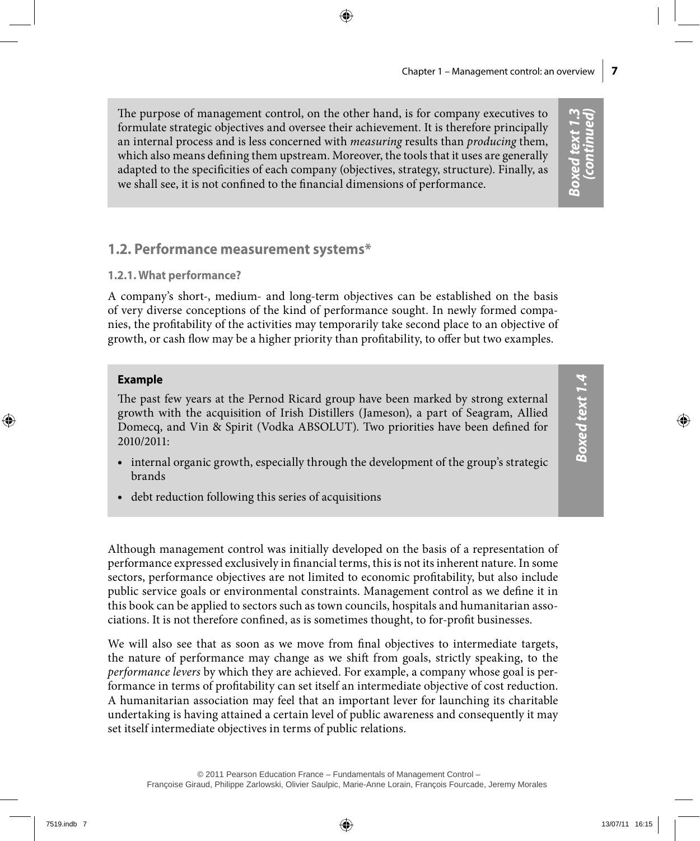The purpose of management control, on the other hand, is for company executives to formulate strategic objectives and oversee their achievement. It is therefore principally an internal process and is less concerned with *measuring* results than *producing* them, which also means defining them upstream. Moreover, the tools that it uses are generally adapted to the specificities of each company (objectives, strategy, structure). Finally, as we shall see, it is not confined to the financial dimensions of performance.

### **1.2. Performance measurement systems\***

### **1.2.1. What performance?**

A company's short-, medium- and long-term objectives can be established on the basis of very diverse conceptions of the kind of performance sought. In newly formed companies, the profitability of the activities may temporarily take second place to an objective of growth, or cash flow may be a higher priority than profitability, to offer but two examples.

### **Example**

The past few years at the Pernod Ricard group have been marked by strong external growth with the acquisition of Irish Distillers (Jameson), a part of Seagram, Allied Domecq, and Vin & Spirit (Vodka ABSOLUT). Two priorities have been defined for 2010/2011:

- internal organic growth, especially through the development of the group's strategic brands
- debt reduction following this series of acquisitions

Although management control was initially developed on the basis of a representation of performance expressed exclusively in financial terms, this is not its inherent nature. In some sectors, performance objectives are not limited to economic profitability, but also include public service goals or environmental constraints. Management control as we define it in this book can be applied to sectors such as town councils, hospitals and humanitarian associations. It is not therefore confined, as is sometimes thought, to for-profit businesses.

We will also see that as soon as we move from final objectives to intermediate targets, the nature of performance may change as we shift from goals, strictly speaking, to the *performance levers* by which they are achieved. For example, a company whose goal is performance in terms of profitability can set itself an intermediate objective of cost reduction. A humanitarian association may feel that an important lever for launching its charitable undertaking is having attained a certain level of public awareness and consequently it may set itself intermediate objectives in terms of public relations.

*Boxed text 1.3 (continued)*

**Boxed text 1.3**<br>(continued)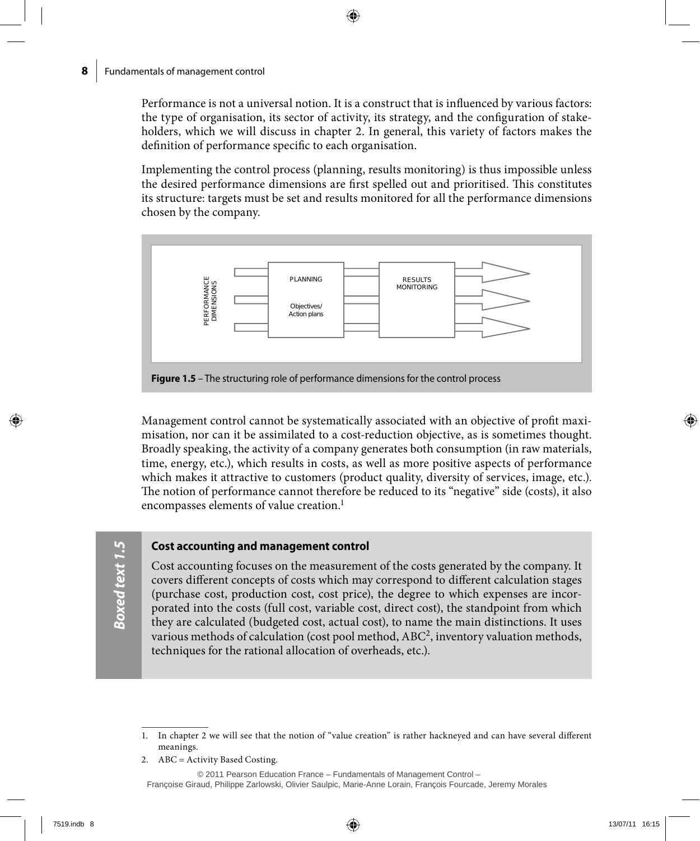Performance is not a universal notion. It is a construct that is influenced by various factors: the type of organisation, its sector of activity, its strategy, and the configuration of stakeholders, which we will discuss in chapter 2. In general, this variety of factors makes the definition of performance specific to each organisation.

Implementing the control process (planning, results monitoring) is thus impossible unless the desired performance dimensions are first spelled out and prioritised. This constitutes its structure: targets must be set and results monitored for all the performance dimensions chosen by the company.



Management control cannot be systematically associated with an objective of profit maximisation, nor can it be assimilated to a cost-reduction objective, as is sometimes thought. Broadly speaking, the activity of a company generates both consumption (in raw materials, time, energy, etc.), which results in costs, as well as more positive aspects of performance which makes it attractive to customers (product quality, diversity of services, image, etc.). The notion of performance cannot therefore be reduced to its "negative" side (costs), it also encompasses elements of value creation.<sup>1</sup>

#### **Cost accounting and management control**

Cost accounting focuses on the measurement of the costs generated by the company. It covers different concepts of costs which may correspond to different calculation stages (purchase cost, production cost, cost price), the degree to which expenses are incorporated into the costs (full cost, variable cost, direct cost), the standpoint from which they are calculated (budgeted cost, actual cost), to name the main distinctions. It uses various methods of calculation (cost pool method, ABC2, inventory valuation methods, techniques for the rational allocation of overheads, etc.).

2. ABC = Activity Based Costing.

<sup>1.</sup> In chapter 2 we will see that the notion of "value creation" is rather hackneyed and can have several different meanings.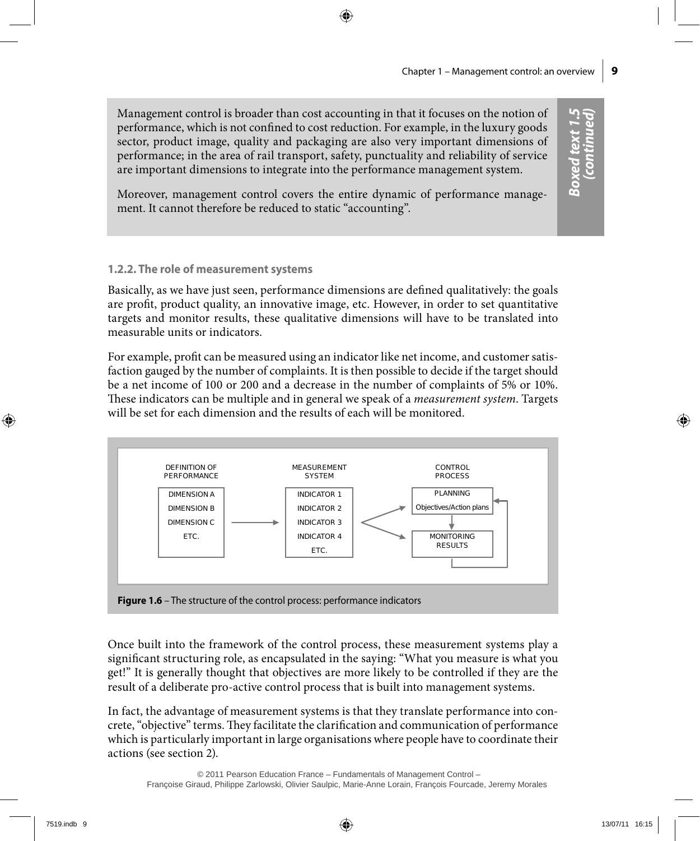*Boxed text 1.5 (continued)*

Boxed text 1.5<br>(continued)

Management control is broader than cost accounting in that it focuses on the notion of performance, which is not confined to cost reduction. For example, in the luxury goods sector, product image, quality and packaging are also very important dimensions of performance; in the area of rail transport, safety, punctuality and reliability of service are important dimensions to integrate into the performance management system.

Moreover, management control covers the entire dynamic of performance management. It cannot therefore be reduced to static "accounting".

### **1.2.2. The role of measurement systems**

Basically, as we have just seen, performance dimensions are defined qualitatively: the goals are profit, product quality, an innovative image, etc. However, in order to set quantitative targets and monitor results, these qualitative dimensions will have to be translated into measurable units or indicators.

For example, profit can be measured using an indicator like net income, and customer satisfaction gauged by the number of complaints. It is then possible to decide if the target should be a net income of 100 or 200 and a decrease in the number of complaints of 5% or 10%. These indicators can be multiple and in general we speak of a *measurement system*. Targets will be set for each dimension and the results of each will be monitored.



Once built into the framework of the control process, these measurement systems play a significant structuring role, as encapsulated in the saying: "What you measure is what you get!" It is generally thought that objectives are more likely to be controlled if they are the result of a deliberate pro-active control process that is built into management systems.

In fact, the advantage of measurement systems is that they translate performance into concrete, "objective" terms. They facilitate the clarification and communication of performance which is particularly important in large organisations where people have to coordinate their actions (see section 2).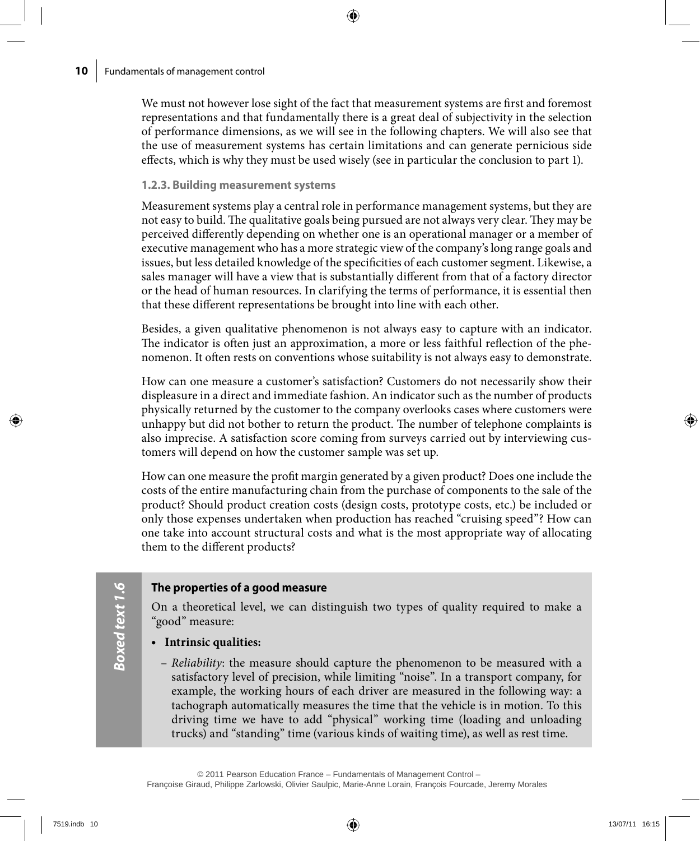We must not however lose sight of the fact that measurement systems are first and foremost representations and that fundamentally there is a great deal of subjectivity in the selection of performance dimensions, as we will see in the following chapters. We will also see that the use of measurement systems has certain limitations and can generate pernicious side effects, which is why they must be used wisely (see in particular the conclusion to part 1).

### **1.2.3. Building measurement systems**

Measurement systems play a central role in performance management systems, but they are not easy to build. The qualitative goals being pursued are not always very clear. They may be perceived differently depending on whether one is an operational manager or a member of executive management who has a more strategic view of the company's long range goals and issues, but less detailed knowledge of the specificities of each customer segment. Likewise, a sales manager will have a view that is substantially different from that of a factory director or the head of human resources. In clarifying the terms of performance, it is essential then that these different representations be brought into line with each other.

Besides, a given qualitative phenomenon is not always easy to capture with an indicator. The indicator is often just an approximation, a more or less faithful reflection of the phenomenon. It often rests on conventions whose suitability is not always easy to demonstrate.

How can one measure a customer's satisfaction? Customers do not necessarily show their displeasure in a direct and immediate fashion. An indicator such as the number of products physically returned by the customer to the company overlooks cases where customers were unhappy but did not bother to return the product. The number of telephone complaints is also imprecise. A satisfaction score coming from surveys carried out by interviewing customers will depend on how the customer sample was set up.

How can one measure the profit margin generated by a given product? Does one include the costs of the entire manufacturing chain from the purchase of components to the sale of the product? Should product creation costs (design costs, prototype costs, etc.) be included or only those expenses undertaken when production has reached "cruising speed"? How can one take into account structural costs and what is the most appropriate way of allocating them to the different products?

### **The properties of a good measure**

On a theoretical level, we can distinguish two types of quality required to make a "good" measure:

### • **Intrinsic qualities:**

*Boxed text 1.6*

Boxed text 1.6

– *Reliability*: the measure should capture the phenomenon to be measured with a satisfactory level of precision, while limiting "noise". In a transport company, for example, the working hours of each driver are measured in the following way: a tachograph automatically measures the time that the vehicle is in motion. To this driving time we have to add "physical" working time (loading and unloading trucks) and "standing" time (various kinds of waiting time), as well as rest time.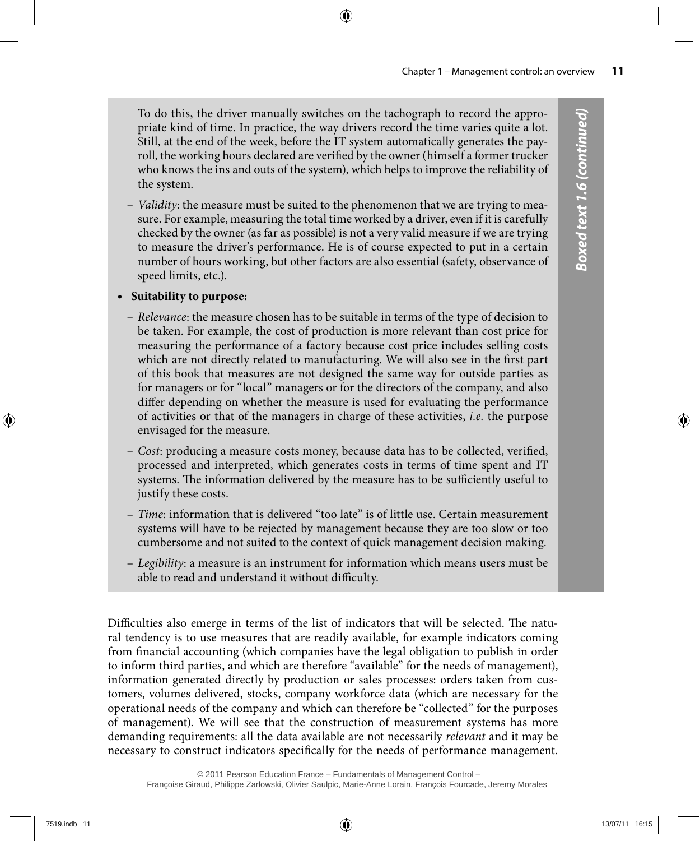To do this, the driver manually switches on the tachograph to record the appropriate kind of time. In practice, the way drivers record the time varies quite a lot. Still, at the end of the week, before the IT system automatically generates the payroll, the working hours declared are verified by the owner (himself a former trucker who knows the ins and outs of the system), which helps to improve the reliability of the system.

– *Validity*: the measure must be suited to the phenomenon that we are trying to measure. For example, measuring the total time worked by a driver, even if it is carefully checked by the owner (as far as possible) is not a very valid measure if we are trying to measure the driver's performance. He is of course expected to put in a certain number of hours working, but other factors are also essential (safety, observance of speed limits, etc.).

### • **Suitability to purpose:**

- *Relevance*: the measure chosen has to be suitable in terms of the type of decision to be taken. For example, the cost of production is more relevant than cost price for measuring the performance of a factory because cost price includes selling costs which are not directly related to manufacturing. We will also see in the first part of this book that measures are not designed the same way for outside parties as for managers or for "local" managers or for the directors of the company, and also differ depending on whether the measure is used for evaluating the performance of activities or that of the managers in charge of these activities, *i.e.* the purpose envisaged for the measure.
- *Cost*: producing a measure costs money, because data has to be collected, verified, processed and interpreted, which generates costs in terms of time spent and IT systems. The information delivered by the measure has to be sufficiently useful to justify these costs.
- *Time*: information that is delivered "too late" is of little use. Certain measurement systems will have to be rejected by management because they are too slow or too cumbersome and not suited to the context of quick management decision making.
- *Legibility*: a measure is an instrument for information which means users must be able to read and understand it without difficulty.

Difficulties also emerge in terms of the list of indicators that will be selected. The natural tendency is to use measures that are readily available, for example indicators coming from financial accounting (which companies have the legal obligation to publish in order to inform third parties, and which are therefore "available" for the needs of management), information generated directly by production or sales processes: orders taken from customers, volumes delivered, stocks, company workforce data (which are necessary for the operational needs of the company and which can therefore be "collected" for the purposes of management). We will see that the construction of measurement systems has more demanding requirements: all the data available are not necessarily *relevant* and it may be necessary to construct indicators specifically for the needs of performance management.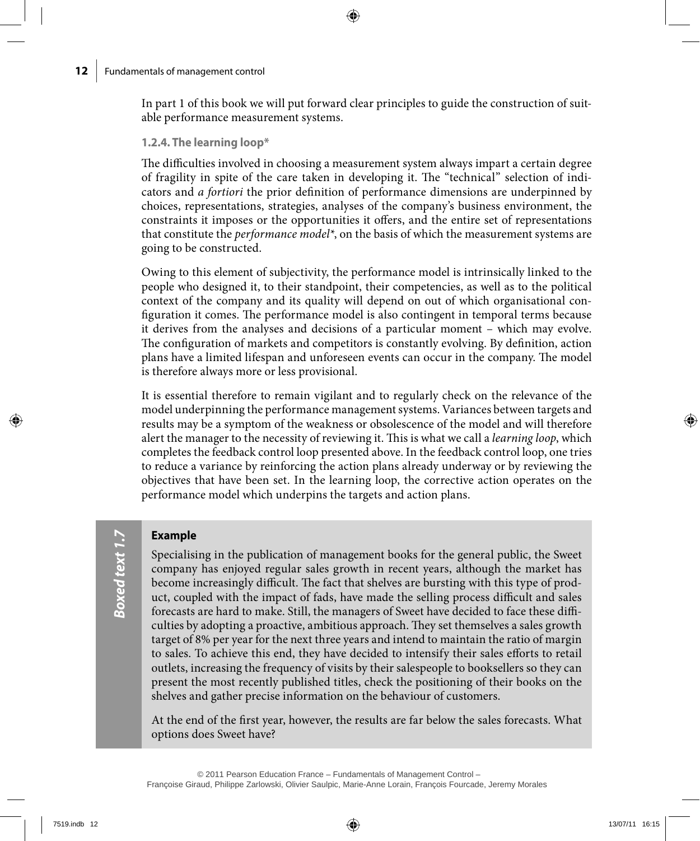In part 1 of this book we will put forward clear principles to guide the construction of suitable performance measurement systems.

### **1.2.4. The learning loop\***

The difficulties involved in choosing a measurement system always impart a certain degree of fragility in spite of the care taken in developing it. The "technical" selection of indicators and *a fortiori* the prior definition of performance dimensions are underpinned by choices, representations, strategies, analyses of the company's business environment, the constraints it imposes or the opportunities it offers, and the entire set of representations that constitute the *performance model\**, on the basis of which the measurement systems are going to be constructed.

Owing to this element of subjectivity, the performance model is intrinsically linked to the people who designed it, to their standpoint, their competencies, as well as to the political context of the company and its quality will depend on out of which organisational configuration it comes. The performance model is also contingent in temporal terms because it derives from the analyses and decisions of a particular moment – which may evolve. The configuration of markets and competitors is constantly evolving. By definition, action plans have a limited lifespan and unforeseen events can occur in the company. The model is therefore always more or less provisional.

It is essential therefore to remain vigilant and to regularly check on the relevance of the model underpinning the performance management systems. Variances between targets and results may be a symptom of the weakness or obsolescence of the model and will therefore alert the manager to the necessity of reviewing it. This is what we call a *learning loop*, which completes the feedback control loop presented above. In the feedback control loop, one tries to reduce a variance by reinforcing the action plans already underway or by reviewing the objectives that have been set. In the learning loop, the corrective action operates on the performance model which underpins the targets and action plans.

### **Example**

Specialising in the publication of management books for the general public, the Sweet company has enjoyed regular sales growth in recent years, although the market has become increasingly difficult. The fact that shelves are bursting with this type of product, coupled with the impact of fads, have made the selling process difficult and sales forecasts are hard to make. Still, the managers of Sweet have decided to face these difficulties by adopting a proactive, ambitious approach. They set themselves a sales growth target of 8% per year for the next three years and intend to maintain the ratio of margin to sales. To achieve this end, they have decided to intensify their sales efforts to retail outlets, increasing the frequency of visits by their salespeople to booksellers so they can present the most recently published titles, check the positioning of their books on the shelves and gather precise information on the behaviour of customers.

At the end of the first year, however, the results are far below the sales forecasts. What options does Sweet have?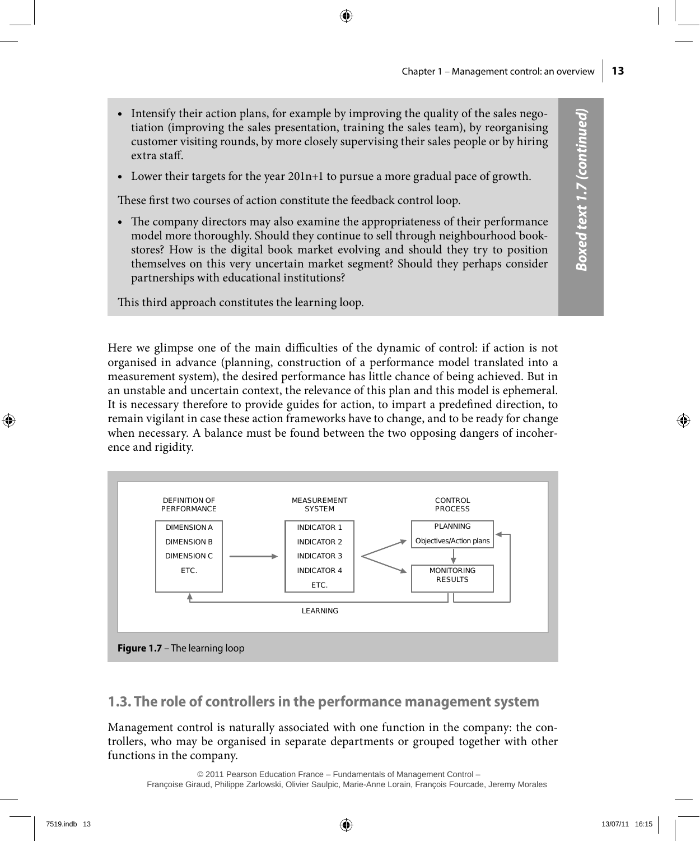- Intensify their action plans, for example by improving the quality of the sales negotiation (improving the sales presentation, training the sales team), by reorganising customer visiting rounds, by more closely supervising their sales people or by hiring extra staff.
- • Lower their targets for the year 201n+1 to pursue a more gradual pace of growth.

These first two courses of action constitute the feedback control loop.

• The company directors may also examine the appropriateness of their performance model more thoroughly. Should they continue to sell through neighbourhood bookstores? How is the digital book market evolving and should they try to position themselves on this very uncertain market segment? Should they perhaps consider partnerships with educational institutions?

This third approach constitutes the learning loop.

Here we glimpse one of the main difficulties of the dynamic of control: if action is not organised in advance (planning, construction of a performance model translated into a measurement system), the desired performance has little chance of being achieved. But in an unstable and uncertain context, the relevance of this plan and this model is ephemeral. It is necessary therefore to provide guides for action, to impart a predefined direction, to remain vigilant in case these action frameworks have to change, and to be ready for change when necessary. A balance must be found between the two opposing dangers of incoherence and rigidity.



### **1.3. The role of controllers in the performance management system**

Management control is naturally associated with one function in the company: the controllers, who may be organised in separate departments or grouped together with other functions in the company.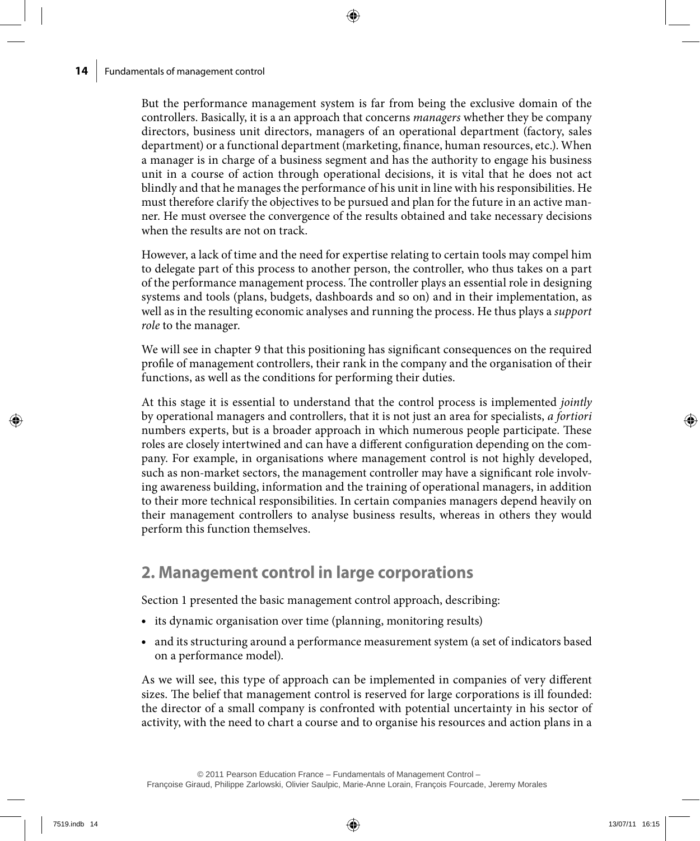But the performance management system is far from being the exclusive domain of the controllers. Basically, it is a an approach that concerns *managers* whether they be company directors, business unit directors, managers of an operational department (factory, sales department) or a functional department (marketing, finance, human resources, etc.). When a manager is in charge of a business segment and has the authority to engage his business unit in a course of action through operational decisions, it is vital that he does not act blindly and that he manages the performance of his unit in line with his responsibilities. He must therefore clarify the objectives to be pursued and plan for the future in an active manner. He must oversee the convergence of the results obtained and take necessary decisions when the results are not on track.

However, a lack of time and the need for expertise relating to certain tools may compel him to delegate part of this process to another person, the controller, who thus takes on a part of the performance management process. The controller plays an essential role in designing systems and tools (plans, budgets, dashboards and so on) and in their implementation, as well as in the resulting economic analyses and running the process. He thus plays a *support role* to the manager.

We will see in chapter 9 that this positioning has significant consequences on the required profile of management controllers, their rank in the company and the organisation of their functions, as well as the conditions for performing their duties.

At this stage it is essential to understand that the control process is implemented *jointly* by operational managers and controllers, that it is not just an area for specialists, *a fortiori* numbers experts, but is a broader approach in which numerous people participate. These roles are closely intertwined and can have a different configuration depending on the company. For example, in organisations where management control is not highly developed, such as non-market sectors, the management controller may have a significant role involving awareness building, information and the training of operational managers, in addition to their more technical responsibilities. In certain companies managers depend heavily on their management controllers to analyse business results, whereas in others they would perform this function themselves.

## **2. Management control in large corporations**

Section 1 presented the basic management control approach, describing:

- its dynamic organisation over time (planning, monitoring results)
- • and its structuring around a performance measurement system (a set of indicators based on a performance model).

As we will see, this type of approach can be implemented in companies of very different sizes. The belief that management control is reserved for large corporations is ill founded: the director of a small company is confronted with potential uncertainty in his sector of activity, with the need to chart a course and to organise his resources and action plans in a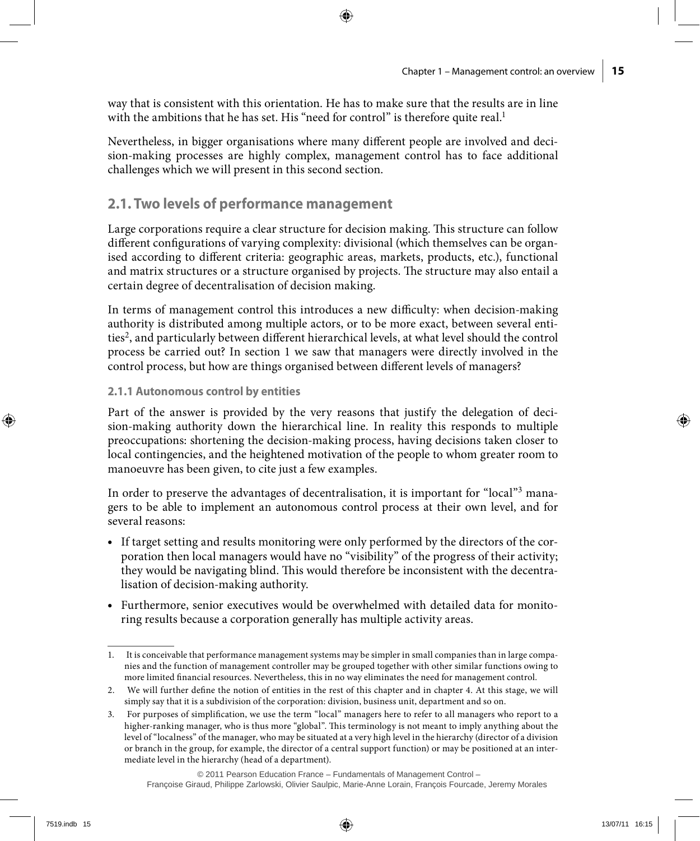way that is consistent with this orientation. He has to make sure that the results are in line with the ambitions that he has set. His "need for control" is therefore quite real.<sup>1</sup>

Nevertheless, in bigger organisations where many different people are involved and decision-making processes are highly complex, management control has to face additional challenges which we will present in this second section.

### **2.1. Two levels of performance management**

Large corporations require a clear structure for decision making. This structure can follow different configurations of varying complexity: divisional (which themselves can be organised according to different criteria: geographic areas, markets, products, etc.), functional and matrix structures or a structure organised by projects. The structure may also entail a certain degree of decentralisation of decision making.

In terms of management control this introduces a new difficulty: when decision-making authority is distributed among multiple actors, or to be more exact, between several entities2, and particularly between different hierarchical levels, at what level should the control process be carried out? In section 1 we saw that managers were directly involved in the control process, but how are things organised between different levels of managers?

#### **2.1.1 Autonomous control by entities**

Part of the answer is provided by the very reasons that justify the delegation of decision-making authority down the hierarchical line. In reality this responds to multiple preoccupations: shortening the decision-making process, having decisions taken closer to local contingencies, and the heightened motivation of the people to whom greater room to manoeuvre has been given, to cite just a few examples.

In order to preserve the advantages of decentralisation, it is important for "local"<sup>3</sup> managers to be able to implement an autonomous control process at their own level, and for several reasons:

- • If target setting and results monitoring were only performed by the directors of the corporation then local managers would have no "visibility" of the progress of their activity; they would be navigating blind. This would therefore be inconsistent with the decentralisation of decision-making authority.
- Furthermore, senior executives would be overwhelmed with detailed data for monitoring results because a corporation generally has multiple activity areas.

<sup>1.</sup> It is conceivable that performance management systems may be simpler in small companies than in large companies and the function of management controller may be grouped together with other similar functions owing to more limited financial resources. Nevertheless, this in no way eliminates the need for management control.

<sup>2.</sup> We will further define the notion of entities in the rest of this chapter and in chapter 4. At this stage, we will simply say that it is a subdivision of the corporation: division, business unit, department and so on.

<sup>3.</sup> For purposes of simplification, we use the term "local" managers here to refer to all managers who report to a higher-ranking manager, who is thus more "global". This terminology is not meant to imply anything about the level of "localness" of the manager, who may be situated at a very high level in the hierarchy (director of a division or branch in the group, for example, the director of a central support function) or may be positioned at an intermediate level in the hierarchy (head of a department).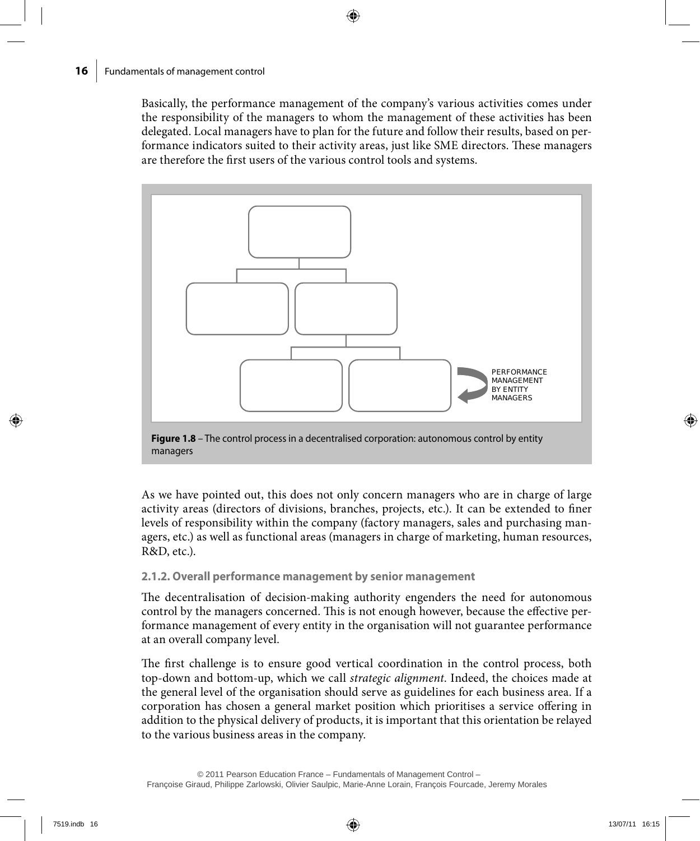Basically, the performance management of the company's various activities comes under the responsibility of the managers to whom the management of these activities has been delegated. Local managers have to plan for the future and follow their results, based on performance indicators suited to their activity areas, just like SME directors. These managers are therefore the first users of the various control tools and systems.



**Figure 1.8** – The control process in a decentralised corporation: autonomous control by entity managers

As we have pointed out, this does not only concern managers who are in charge of large activity areas (directors of divisions, branches, projects, etc.). It can be extended to finer levels of responsibility within the company (factory managers, sales and purchasing managers, etc.) as well as functional areas (managers in charge of marketing, human resources, R&D, etc.).

### **2.1.2. Overall performance management by senior management**

The decentralisation of decision-making authority engenders the need for autonomous control by the managers concerned. This is not enough however, because the effective performance management of every entity in the organisation will not guarantee performance at an overall company level.

The first challenge is to ensure good vertical coordination in the control process, both top-down and bottom-up, which we call *strategic alignment*. Indeed, the choices made at the general level of the organisation should serve as guidelines for each business area. If a corporation has chosen a general market position which prioritises a service offering in addition to the physical delivery of products, it is important that this orientation be relayed to the various business areas in the company.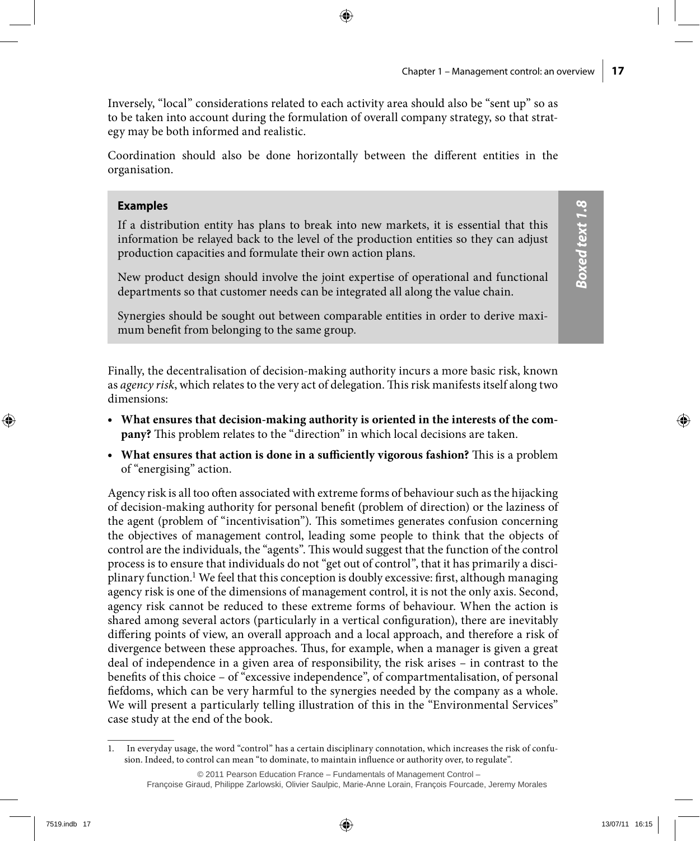*Boxed text 1.8*

**Boxed text 1.8** 

Inversely, "local" considerations related to each activity area should also be "sent up" so as to be taken into account during the formulation of overall company strategy, so that strategy may be both informed and realistic.

Coordination should also be done horizontally between the different entities in the organisation.

### **Examples**

If a distribution entity has plans to break into new markets, it is essential that this information be relayed back to the level of the production entities so they can adjust production capacities and formulate their own action plans.

New product design should involve the joint expertise of operational and functional departments so that customer needs can be integrated all along the value chain.

Synergies should be sought out between comparable entities in order to derive maximum benefit from belonging to the same group.

Finally, the decentralisation of decision-making authority incurs a more basic risk, known as *agency risk*, which relates to the very act of delegation. This risk manifests itself along two dimensions:

- • **What ensures that decision-making authority is oriented in the interests of the company?** This problem relates to the "direction" in which local decisions are taken.
- • **What ensures that action is done in a sufficiently vigorous fashion?** This is a problem of "energising" action.

Agency risk is all too often associated with extreme forms of behaviour such as the hijacking of decision-making authority for personal benefit (problem of direction) or the laziness of the agent (problem of "incentivisation"). This sometimes generates confusion concerning the objectives of management control, leading some people to think that the objects of control are the individuals, the "agents". This would suggest that the function of the control process is to ensure that individuals do not "get out of control", that it has primarily a disciplinary function.<sup>1</sup> We feel that this conception is doubly excessive: first, although managing agency risk is one of the dimensions of management control, it is not the only axis. Second, agency risk cannot be reduced to these extreme forms of behaviour. When the action is shared among several actors (particularly in a vertical configuration), there are inevitably differing points of view, an overall approach and a local approach, and therefore a risk of divergence between these approaches. Thus, for example, when a manager is given a great deal of independence in a given area of responsibility, the risk arises – in contrast to the benefits of this choice – of "excessive independence", of compartmentalisation, of personal fiefdoms, which can be very harmful to the synergies needed by the company as a whole. We will present a particularly telling illustration of this in the "Environmental Services" case study at the end of the book.

<sup>1.</sup> In everyday usage, the word "control" has a certain disciplinary connotation, which increases the risk of confusion. Indeed, to control can mean "to dominate, to maintain influence or authority over, to regulate".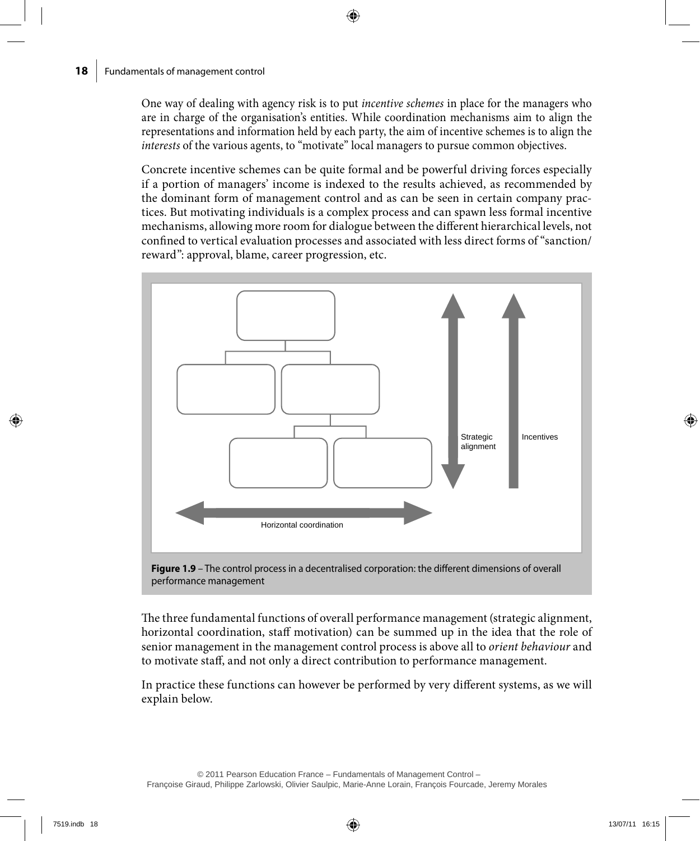One way of dealing with agency risk is to put *incentive schemes* in place for the managers who are in charge of the organisation's entities. While coordination mechanisms aim to align the representations and information held by each party, the aim of incentive schemes is to align the *interests* of the various agents, to "motivate" local managers to pursue common objectives.

Concrete incentive schemes can be quite formal and be powerful driving forces especially if a portion of managers' income is indexed to the results achieved, as recommended by the dominant form of management control and as can be seen in certain company practices. But motivating individuals is a complex process and can spawn less formal incentive mechanisms, allowing more room for dialogue between the different hierarchical levels, not confined to vertical evaluation processes and associated with less direct forms of "sanction/ reward": approval, blame, career progression, etc.





The three fundamental functions of overall performance management (strategic alignment, horizontal coordination, staff motivation) can be summed up in the idea that the role of senior management in the management control process is above all to *orient behaviour* and to motivate staff, and not only a direct contribution to performance management.

In practice these functions can however be performed by very different systems, as we will explain below.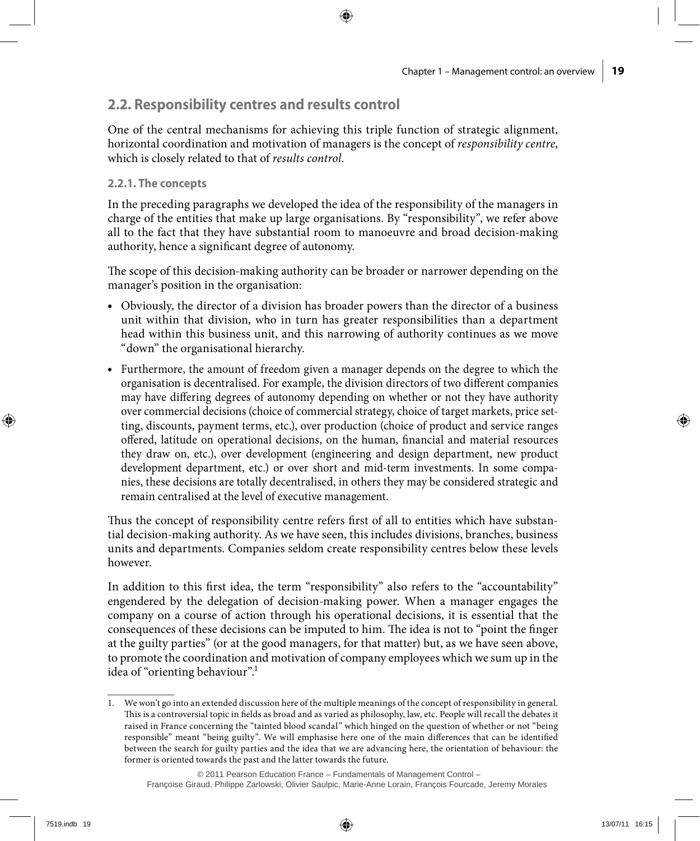## **2.2. Responsibility centres and results control**

One of the central mechanisms for achieving this triple function of strategic alignment, horizontal coordination and motivation of managers is the concept of *responsibility centre*, which is closely related to that of *results control*.

### **2.2.1. The concepts**

In the preceding paragraphs we developed the idea of the responsibility of the managers in charge of the entities that make up large organisations. By "responsibility", we refer above all to the fact that they have substantial room to manoeuvre and broad decision-making authority, hence a significant degree of autonomy.

The scope of this decision-making authority can be broader or narrower depending on the manager's position in the organisation:

- • Obviously, the director of a division has broader powers than the director of a business unit within that division, who in turn has greater responsibilities than a department head within this business unit, and this narrowing of authority continues as we move "down" the organisational hierarchy.
- • Furthermore, the amount of freedom given a manager depends on the degree to which the organisation is decentralised. For example, the division directors of two different companies may have differing degrees of autonomy depending on whether or not they have authority over commercial decisions (choice of commercial strategy, choice of target markets, price setting, discounts, payment terms, etc.), over production (choice of product and service ranges offered, latitude on operational decisions, on the human, financial and material resources they draw on, etc.), over development (engineering and design department, new product development department, etc.) or over short and mid-term investments. In some companies, these decisions are totally decentralised, in others they may be considered strategic and remain centralised at the level of executive management.

Thus the concept of responsibility centre refers first of all to entities which have substantial decision-making authority. As we have seen, this includes divisions, branches, business units and departments. Companies seldom create responsibility centres below these levels however.

In addition to this first idea, the term "responsibility" also refers to the "accountability" engendered by the delegation of decision-making power. When a manager engages the company on a course of action through his operational decisions, it is essential that the consequences of these decisions can be imputed to him. The idea is not to "point the finger at the guilty parties" (or at the good managers, for that matter) but, as we have seen above, to promote the coordination and motivation of company employees which we sum up in the idea of "orienting behaviour".1

<sup>1.</sup> We won't go into an extended discussion here of the multiple meanings of the concept of responsibility in general. This is a controversial topic in fields as broad and as varied as philosophy, law, etc. People will recall the debates it raised in France concerning the "tainted blood scandal" which hinged on the question of whether or not "being responsible" meant "being guilty". We will emphasise here one of the main differences that can be identified between the search for guilty parties and the idea that we are advancing here, the orientation of behaviour: the former is oriented towards the past and the latter towards the future.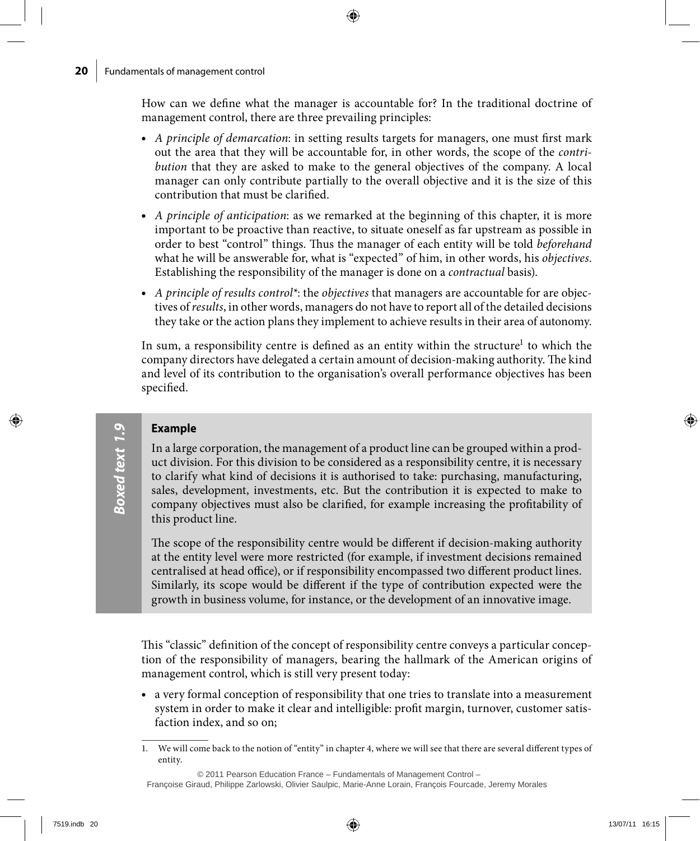How can we define what the manager is accountable for? In the traditional doctrine of management control, there are three prevailing principles:

- • *A principle of demarcation*: in setting results targets for managers, one must first mark out the area that they will be accountable for, in other words, the scope of the *contribution* that they are asked to make to the general objectives of the company. A local manager can only contribute partially to the overall objective and it is the size of this contribution that must be clarified.
- • *A principle of anticipation*: as we remarked at the beginning of this chapter, it is more important to be proactive than reactive, to situate oneself as far upstream as possible in order to best "control" things. Thus the manager of each entity will be told *beforehand*  what he will be answerable for, what is "expected" of him, in other words, his *objectives*. Establishing the responsibility of the manager is done on a *contractual* basis).
- • *A principle of results control\**: the *objectives* that managers are accountable for are objectives of *results*, in other words, managers do not have to report all of the detailed decisions they take or the action plans they implement to achieve results in their area of autonomy.

In sum, a responsibility centre is defined as an entity within the structure<sup>1</sup> to which the company directors have delegated a certain amount of decision-making authority. The kind and level of its contribution to the organisation's overall performance objectives has been specified.

### **Example**

In a large corporation, the management of a product line can be grouped within a product division. For this division to be considered as a responsibility centre, it is necessary to clarify what kind of decisions it is authorised to take: purchasing, manufacturing, sales, development, investments, etc. But the contribution it is expected to make to company objectives must also be clarified, for example increasing the profitability of this product line.

The scope of the responsibility centre would be different if decision-making authority at the entity level were more restricted (for example, if investment decisions remained centralised at head office), or if responsibility encompassed two different product lines. Similarly, its scope would be different if the type of contribution expected were the growth in business volume, for instance, or the development of an innovative image.

This "classic" definition of the concept of responsibility centre conveys a particular conception of the responsibility of managers, bearing the hallmark of the American origins of management control, which is still very present today:

• a very formal conception of responsibility that one tries to translate into a measurement system in order to make it clear and intelligible: profit margin, turnover, customer satisfaction index, and so on;

<sup>1.</sup> We will come back to the notion of "entity" in chapter 4, where we will see that there are several different types of entity.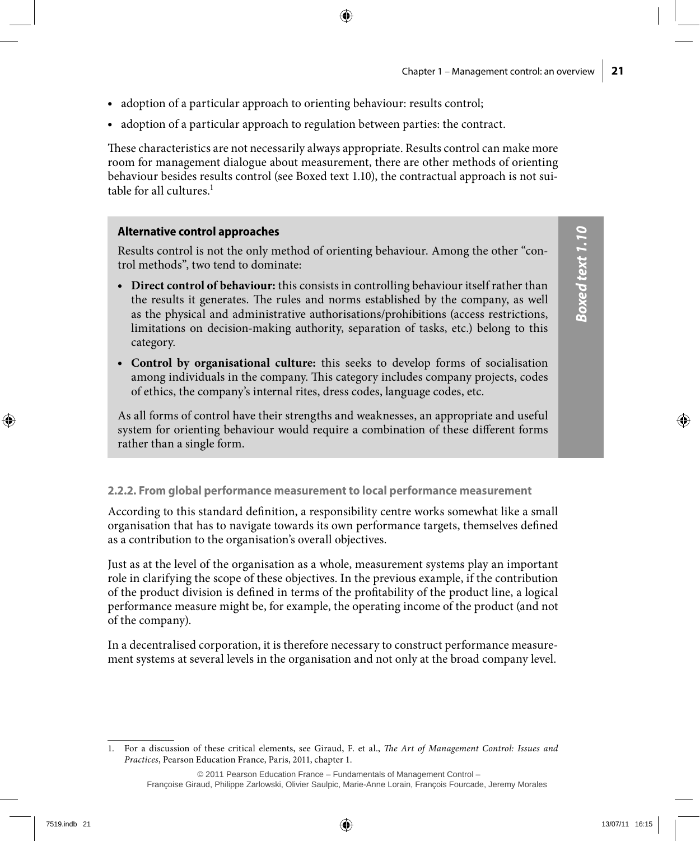- adoption of a particular approach to orienting behaviour: results control;
- adoption of a particular approach to regulation between parties: the contract.

These characteristics are not necessarily always appropriate. Results control can make more room for management dialogue about measurement, there are other methods of orienting behaviour besides results control (see Boxed text 1.10), the contractual approach is not suitable for all cultures. $<sup>1</sup>$ </sup>

### **Alternative control approaches**

Results control is not the only method of orienting behaviour. Among the other "control methods", two tend to dominate:

- • **Direct control of behaviour:** this consists in controlling behaviour itself rather than the results it generates. The rules and norms established by the company, as well as the physical and administrative authorisations/prohibitions (access restrictions, limitations on decision-making authority, separation of tasks, etc.) belong to this category.
- • **Control by organisational culture:** this seeks to develop forms of socialisation among individuals in the company. This category includes company projects, codes of ethics, the company's internal rites, dress codes, language codes, etc.

As all forms of control have their strengths and weaknesses, an appropriate and useful system for orienting behaviour would require a combination of these different forms rather than a single form.

### **2.2.2. From global performance measurement to local performance measurement**

According to this standard definition, a responsibility centre works somewhat like a small organisation that has to navigate towards its own performance targets, themselves defined as a contribution to the organisation's overall objectives.

Just as at the level of the organisation as a whole, measurement systems play an important role in clarifying the scope of these objectives. In the previous example, if the contribution of the product division is defined in terms of the profitability of the product line, a logical performance measure might be, for example, the operating income of the product (and not of the company).

In a decentralised corporation, it is therefore necessary to construct performance measurement systems at several levels in the organisation and not only at the broad company level.

<sup>1.</sup> For a discussion of these critical elements, see Giraud, F. et al., *The Art of Management Control: Issues and Practices*, Pearson Education France, Paris, 2011, chapter 1.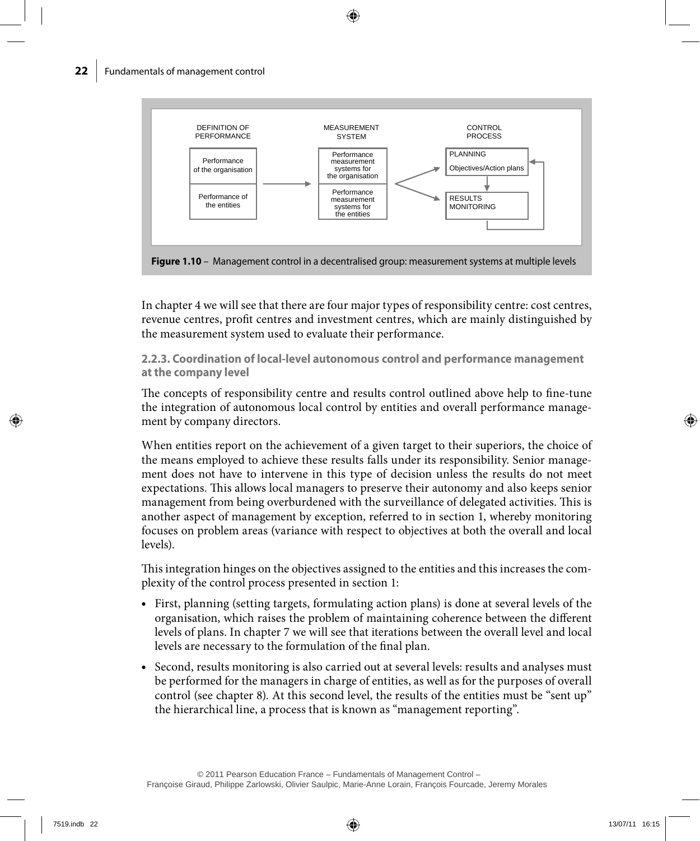

In chapter 4 we will see that there are four major types of responsibility centre: cost centres, revenue centres, profit centres and investment centres, which are mainly distinguished by the measurement system used to evaluate their performance.

**2.2.3. Coordination of local-level autonomous control and performance management at the company level**

The concepts of responsibility centre and results control outlined above help to fine-tune the integration of autonomous local control by entities and overall performance management by company directors.

When entities report on the achievement of a given target to their superiors, the choice of the means employed to achieve these results falls under its responsibility. Senior management does not have to intervene in this type of decision unless the results do not meet expectations. This allows local managers to preserve their autonomy and also keeps senior management from being overburdened with the surveillance of delegated activities. This is another aspect of management by exception, referred to in section 1, whereby monitoring focuses on problem areas (variance with respect to objectives at both the overall and local levels).

This integration hinges on the objectives assigned to the entities and this increases the complexity of the control process presented in section 1:

- • First, planning (setting targets, formulating action plans) is done at several levels of the organisation, which raises the problem of maintaining coherence between the different levels of plans. In chapter 7 we will see that iterations between the overall level and local levels are necessary to the formulation of the final plan.
- Second, results monitoring is also carried out at several levels: results and analyses must be performed for the managers in charge of entities, as well as for the purposes of overall control (see chapter 8). At this second level, the results of the entities must be "sent up" the hierarchical line, a process that is known as "management reporting".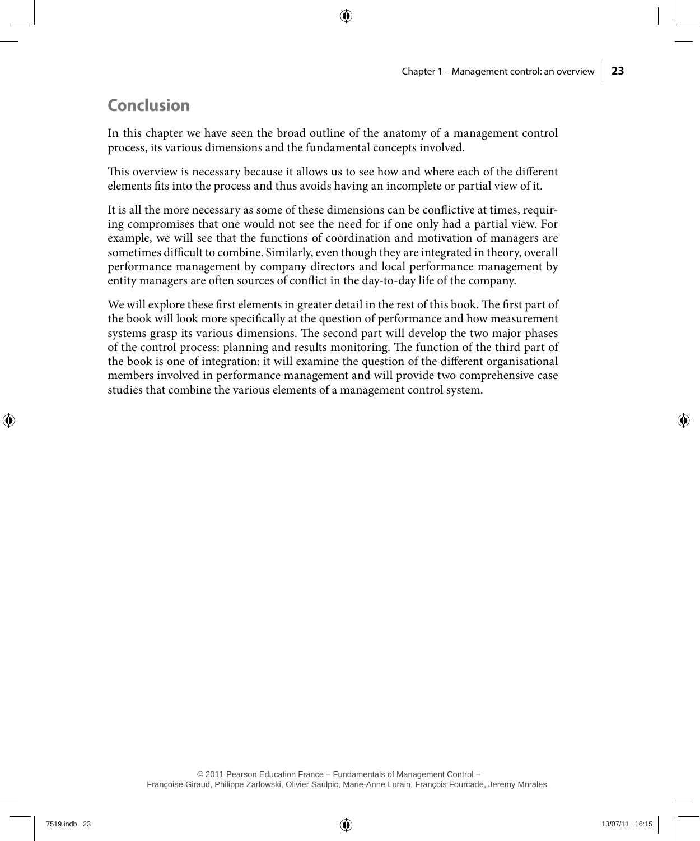## **Conclusion**

In this chapter we have seen the broad outline of the anatomy of a management control process, its various dimensions and the fundamental concepts involved.

This overview is necessary because it allows us to see how and where each of the different elements fits into the process and thus avoids having an incomplete or partial view of it.

It is all the more necessary as some of these dimensions can be conflictive at times, requiring compromises that one would not see the need for if one only had a partial view. For example, we will see that the functions of coordination and motivation of managers are sometimes difficult to combine. Similarly, even though they are integrated in theory, overall performance management by company directors and local performance management by entity managers are often sources of conflict in the day-to-day life of the company.

We will explore these first elements in greater detail in the rest of this book. The first part of the book will look more specifically at the question of performance and how measurement systems grasp its various dimensions. The second part will develop the two major phases of the control process: planning and results monitoring. The function of the third part of the book is one of integration: it will examine the question of the different organisational members involved in performance management and will provide two comprehensive case studies that combine the various elements of a management control system.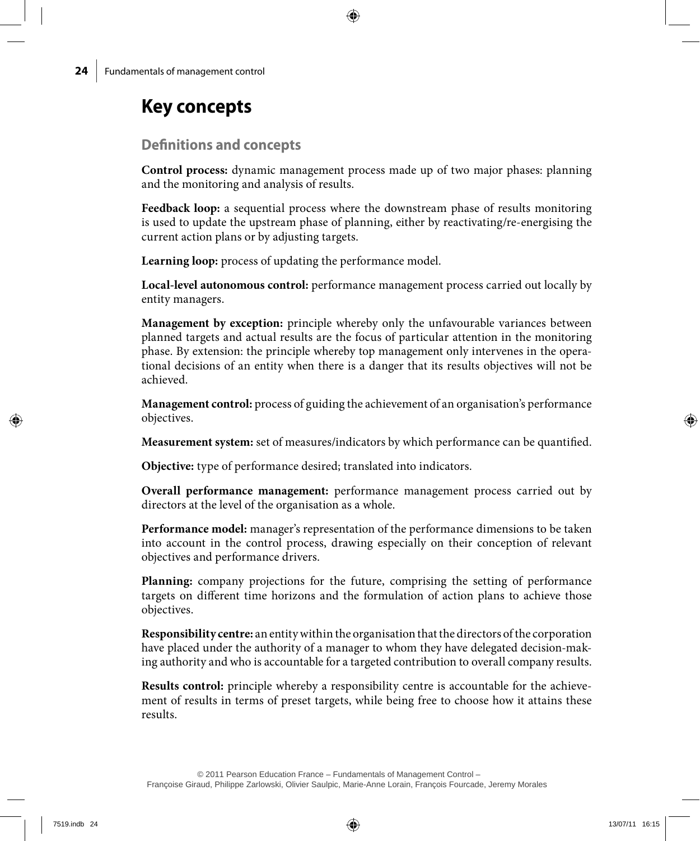# **Key concepts**

### **Definitions and concepts**

**Control process:** dynamic management process made up of two major phases: planning and the monitoring and analysis of results.

**Feedback loop:** a sequential process where the downstream phase of results monitoring is used to update the upstream phase of planning, either by reactivating/re-energising the current action plans or by adjusting targets.

**Learning loop:** process of updating the performance model.

**Local-level autonomous control:** performance management process carried out locally by entity managers.

**Management by exception:** principle whereby only the unfavourable variances between planned targets and actual results are the focus of particular attention in the monitoring phase. By extension: the principle whereby top management only intervenes in the operational decisions of an entity when there is a danger that its results objectives will not be achieved.

**Management control:** process of guiding the achievement of an organisation's performance objectives.

**Measurement system:** set of measures/indicators by which performance can be quantified.

**Objective:** type of performance desired; translated into indicators.

**Overall performance management:** performance management process carried out by directors at the level of the organisation as a whole.

**Performance model:** manager's representation of the performance dimensions to be taken into account in the control process, drawing especially on their conception of relevant objectives and performance drivers.

**Planning:** company projections for the future, comprising the setting of performance targets on different time horizons and the formulation of action plans to achieve those objectives.

**Responsibility centre:** an entity within the organisation that the directors of the corporation have placed under the authority of a manager to whom they have delegated decision-making authority and who is accountable for a targeted contribution to overall company results.

**Results control:** principle whereby a responsibility centre is accountable for the achievement of results in terms of preset targets, while being free to choose how it attains these results.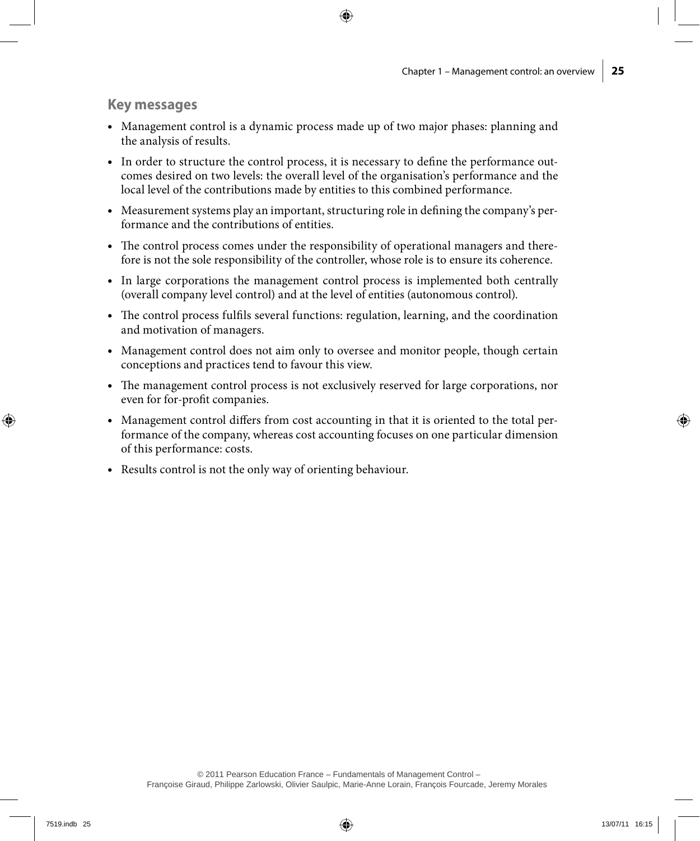### **Key messages**

- • Management control is a dynamic process made up of two major phases: planning and the analysis of results.
- • In order to structure the control process, it is necessary to define the performance outcomes desired on two levels: the overall level of the organisation's performance and the local level of the contributions made by entities to this combined performance.
- • Measurement systems play an important, structuring role in defining the company's performance and the contributions of entities.
- The control process comes under the responsibility of operational managers and therefore is not the sole responsibility of the controller, whose role is to ensure its coherence.
- In large corporations the management control process is implemented both centrally (overall company level control) and at the level of entities (autonomous control).
- The control process fulfils several functions: regulation, learning, and the coordination and motivation of managers.
- Management control does not aim only to oversee and monitor people, though certain conceptions and practices tend to favour this view.
- • The management control process is not exclusively reserved for large corporations, nor even for for-profit companies.
- Management control differs from cost accounting in that it is oriented to the total performance of the company, whereas cost accounting focuses on one particular dimension of this performance: costs.
- Results control is not the only way of orienting behaviour.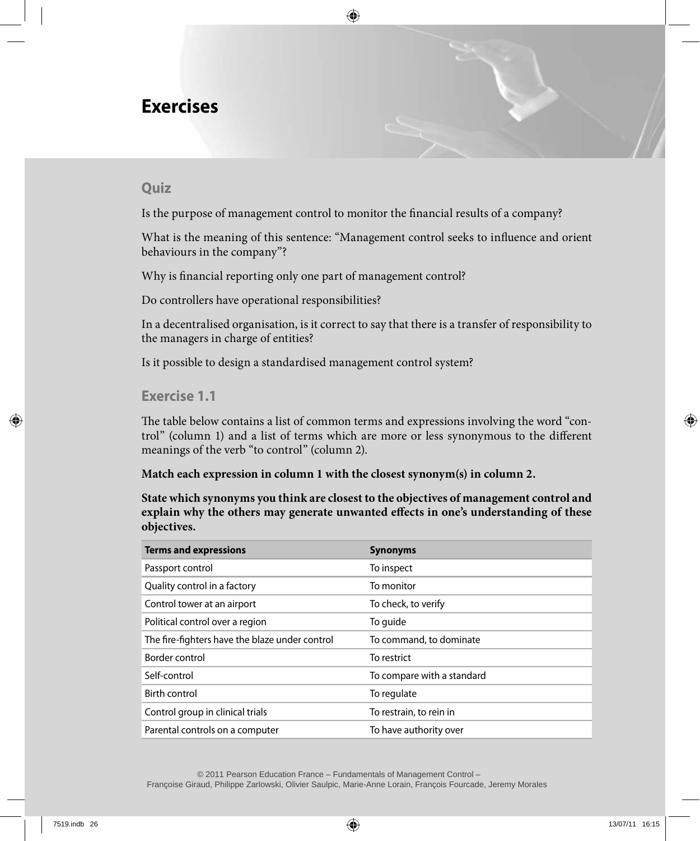## **Exercises**

### **Quiz**

Is the purpose of management control to monitor the financial results of a company?

What is the meaning of this sentence: "Management control seeks to influence and orient behaviours in the company"?

Why is financial reporting only one part of management control?

Do controllers have operational responsibilities?

In a decentralised organisation, is it correct to say that there is a transfer of responsibility to the managers in charge of entities?

Is it possible to design a standardised management control system?

### **Exercise 1.1**

The table below contains a list of common terms and expressions involving the word "control" (column 1) and a list of terms which are more or less synonymous to the different meanings of the verb "to control" (column 2).

**Match each expression in column 1 with the closest synonym(s) in column 2.**

**State which synonyms you think are closest to the objectives of management control and explain why the others may generate unwanted effects in one's understanding of these objectives.**

| <b>Terms and expressions</b>                   | <b>Synonyms</b>            |
|------------------------------------------------|----------------------------|
| Passport control                               | To inspect                 |
| Quality control in a factory                   | To monitor                 |
| Control tower at an airport                    | To check, to verify        |
| Political control over a region                | To guide                   |
| The fire-fighters have the blaze under control | To command, to dominate    |
| Border control                                 | To restrict                |
| Self-control                                   | To compare with a standard |
| Birth control                                  | To regulate                |
| Control group in clinical trials               | To restrain, to rein in    |
| Parental controls on a computer                | To have authority over     |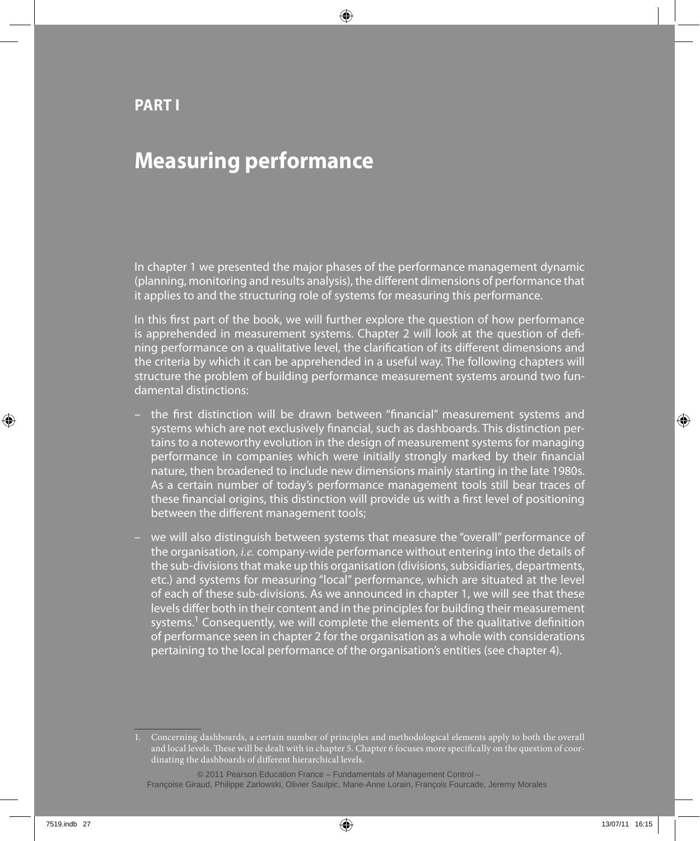## **Part I**

# **Measuring performance**

In chapter 1 we presented the major phases of the performance management dynamic (planning, monitoring and results analysis), the different dimensions of performance that it applies to and the structuring role of systems for measuring this performance.

In this first part of the book, we will further explore the question of how performance is apprehended in measurement systems. Chapter 2 will look at the question of defining performance on a qualitative level, the clarification of its different dimensions and the criteria by which it can be apprehended in a useful way. The following chapters will structure the problem of building performance measurement systems around two fundamental distinctions:

- the first distinction will be drawn between "financial" measurement systems and systems which are not exclusively financial, such as dashboards. This distinction pertains to a noteworthy evolution in the design of measurement systems for managing performance in companies which were initially strongly marked by their financial nature, then broadened to include new dimensions mainly starting in the late 1980s. As a certain number of today's performance management tools still bear traces of these financial origins, this distinction will provide us with a first level of positioning between the different management tools;
- we will also distinguish between systems that measure the "overall" performance of the organisation, *i.e.* company-wide performance without entering into the details of the sub-divisions that make up this organisation (divisions, subsidiaries, departments, etc.) and systems for measuring "local" performance, which are situated at the level of each of these sub-divisions. As we announced in chapter 1, we will see that these levels differ both in their content and in the principles for building their measurement systems.<sup>1</sup> Consequently, we will complete the elements of the qualitative definition of performance seen in chapter 2 for the organisation as a whole with considerations pertaining to the local performance of the organisation's entities (see chapter 4).

<sup>1.</sup> Concerning dashboards, a certain number of principles and methodological elements apply to both the overall and local levels. These will be dealt with in chapter 5. Chapter 6 focuses more specifically on the question of coordinating the dashboards of different hierarchical levels.

 <sup>© 2011</sup> Pearson Education France – Fundamentals of Management Control – Françoise Giraud, Philippe Zarlowski, Olivier Saulpic, Marie-Anne Lorain, François Fourcade, Jeremy Morales